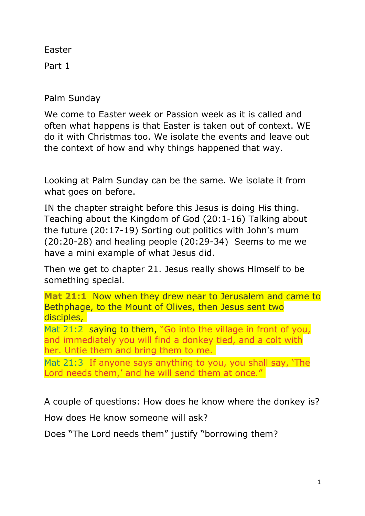Easter

Part 1

Palm Sunday

We come to Easter week or Passion week as it is called and often what happens is that Easter is taken out of context. WE do it with Christmas too. We isolate the events and leave out the context of how and why things happened that way.

Looking at Palm Sunday can be the same. We isolate it from what goes on before.

IN the chapter straight before this Jesus is doing His thing. Teaching about the Kingdom of God (20:1-16) Talking about the future (20:17-19) Sorting out politics with John's mum (20:20-28) and healing people (20:29-34) Seems to me we have a mini example of what Jesus did.

Then we get to chapter 21. Jesus really shows Himself to be something special.

**Mat 21:1** Now when they drew near to Jerusalem and came to Bethphage, to the Mount of Olives, then Jesus sent two disciples,

Mat 21:2 saying to them, "Go into the village in front of you, and immediately you will find a donkey tied, and a colt with her. Untie them and bring them to me.

Mat 21:3 If anyone says anything to you, you shall say, 'The Lord needs them,' and he will send them at once."

A couple of questions: How does he know where the donkey is? How does He know someone will ask?

Does "The Lord needs them" justify "borrowing them?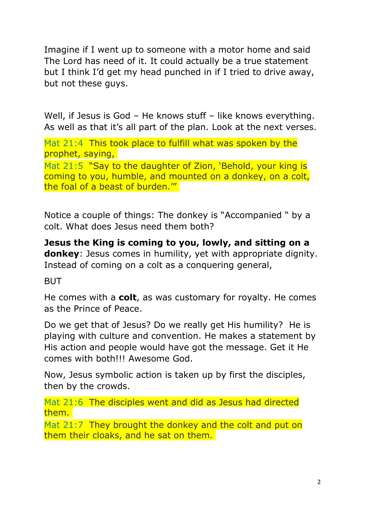Imagine if I went up to someone with a motor home and said The Lord has need of it. It could actually be a true statement but I think I'd get my head punched in if I tried to drive away, but not these guys.

Well, if Jesus is God – He knows stuff – like knows everything. As well as that it's all part of the plan. Look at the next verses.

Mat 21:4 This took place to fulfill what was spoken by the prophet, saying,

Mat 21:5 "Say to the daughter of Zion, 'Behold, your king is coming to you, humble, and mounted on a donkey, on a colt, the foal of a beast of burden.'"

Notice a couple of things: The donkey is "Accompanied " by a colt. What does Jesus need them both?

**Jesus the King is coming to you, lowly, and sitting on a donkey**: Jesus comes in humility, yet with appropriate dignity. Instead of coming on a colt as a conquering general,

**BUT** 

He comes with a **colt**, as was customary for royalty. He comes as the Prince of Peace.

Do we get that of Jesus? Do we really get His humility? He is playing with culture and convention. He makes a statement by His action and people would have got the message. Get it He comes with both!!! Awesome God.

Now, Jesus symbolic action is taken up by first the disciples, then by the crowds.

Mat 21:6 The disciples went and did as Jesus had directed them.

Mat 21:7 They brought the donkey and the colt and put on them their cloaks, and he sat on them.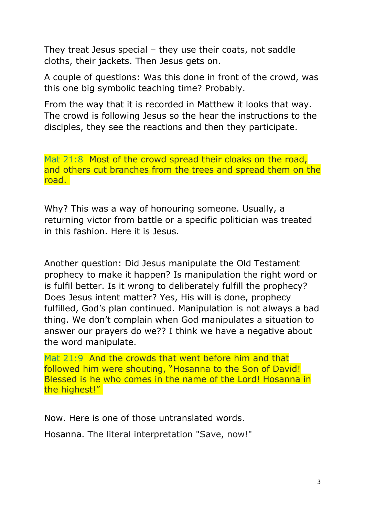They treat Jesus special – they use their coats, not saddle cloths, their jackets. Then Jesus gets on.

A couple of questions: Was this done in front of the crowd, was this one big symbolic teaching time? Probably.

From the way that it is recorded in Matthew it looks that way. The crowd is following Jesus so the hear the instructions to the disciples, they see the reactions and then they participate.

Mat 21:8 Most of the crowd spread their cloaks on the road, and others cut branches from the trees and spread them on the road.

Why? This was a way of honouring someone. Usually, a returning victor from battle or a specific politician was treated in this fashion. Here it is Jesus.

Another question: Did Jesus manipulate the Old Testament prophecy to make it happen? Is manipulation the right word or is fulfil better. Is it wrong to deliberately fulfill the prophecy? Does Jesus intent matter? Yes, His will is done, prophecy fulfilled, God's plan continued. Manipulation is not always a bad thing. We don't complain when God manipulates a situation to answer our prayers do we?? I think we have a negative about the word manipulate.

Mat 21:9 And the crowds that went before him and that followed him were shouting, "Hosanna to the Son of David! Blessed is he who comes in the name of the Lord! Hosanna in the highest!"

Now. Here is one of those untranslated words.

Hosanna. The literal interpretation "Save, now!"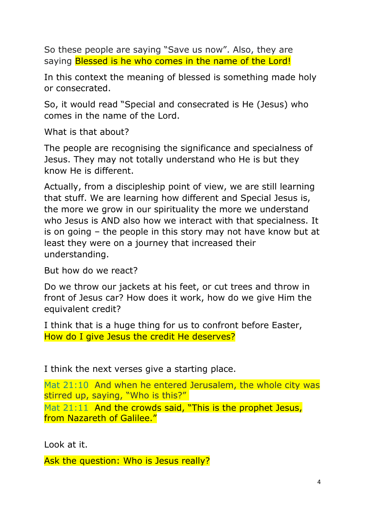So these people are saying "Save us now". Also, they are saying Blessed is he who comes in the name of the Lord!

In this context the meaning of blessed is something made holy or consecrated.

So, it would read "Special and consecrated is He (Jesus) who comes in the name of the Lord.

What is that about?

The people are recognising the significance and specialness of Jesus. They may not totally understand who He is but they know He is different.

Actually, from a discipleship point of view, we are still learning that stuff. We are learning how different and Special Jesus is, the more we grow in our spirituality the more we understand who Jesus is AND also how we interact with that specialness. It is on going – the people in this story may not have know but at least they were on a journey that increased their understanding.

But how do we react?

Do we throw our jackets at his feet, or cut trees and throw in front of Jesus car? How does it work, how do we give Him the equivalent credit?

I think that is a huge thing for us to confront before Easter, How do I give Jesus the credit He deserves?

I think the next verses give a starting place.

Mat 21:10 And when he entered Jerusalem, the whole city was stirred up, saying, "Who is this?"

Mat 21:11 And the crowds said, "This is the prophet Jesus, from Nazareth of Galilee."

Look at it.

Ask the question: Who is Jesus really?